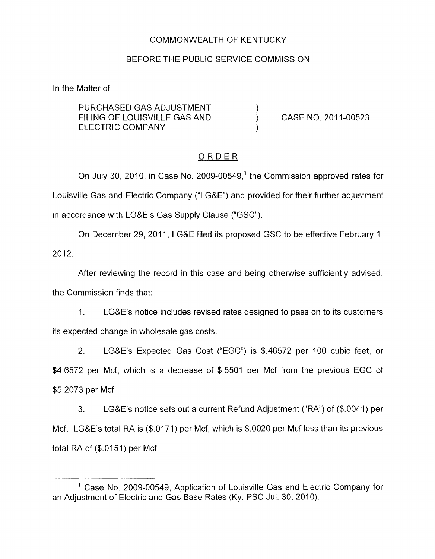### COMMONWEALTH OF KENTUCKY

#### BEFORE THE PUBLIC SERVICE COMMISSION

In the Matter of:

PURCHASED GAS ADJUSTMENT  $)$ <br>FILING OF LOUISVILLE GAS AND  $)$ ELECTRIC COMPANY (1999) FILING OF LOUISVILLE GAS AND (CASE NO. 2011-00523

## ORDER

On July 30, 2010, in Case No. 2009-00549,' the Commission approved rates for Louisville Gas and Electric Company ("LG&E") and provided for their further adjustment in accordance with LG&E's Gas Supply Clause ("GSC").

On December 29, 2011, LG&E filed its proposed GSC to be effective February 1, 2012.

After reviewing the record in this case and being otherwise sufficiently advised, the Commission finds that:

1. LG&E's notice includes revised rates designed to pass on to its customers its expected change in wholesale gas costs.

2. LG&E's Expected Gas Cost ("EGC") is \$46572 per 100 cubic feet, or \$4.6572 per Mcf, which is a decrease of \$.5501 per Mcf from the previous EGC of \$5.2073 per Mcf.

3. LG&E's notice sets out a current Refund Adjustment ("RA") of (\$0041) per Mcf. LG&E's total RA is (\$.0171) per Mcf, which is \$.0020 per Mcf less than its previous total RA of (\$.0151) per Mcf.

<sup>&</sup>lt;sup>1</sup> Case No. 2009-00549, Application of Louisville Gas and Electric Company for an Adjustment of Electric and Gas Base Rates (Ky. PSC Jul. 30, 2010).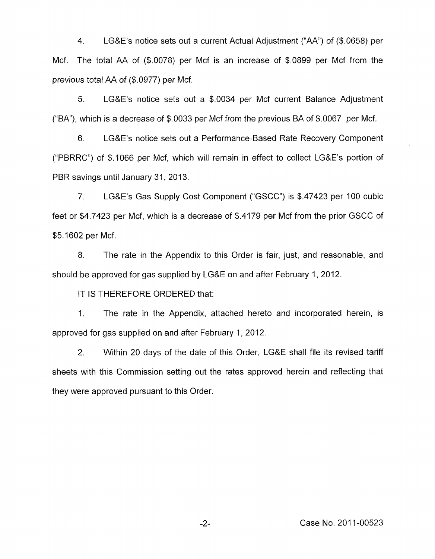4. LG&E's notice sets out a current Actual Adjustment ("AA") of (\$.0658) per Mcf. The total AA of (\$.0078) per Mcf is an increase of \$.0899 per Mcf from the previous total AA of (\$.0977) per Mcf.

5. LG&E's notice sets out a \$0034 per Mcf current Balance Adjustment ("BA"), which *is* a decrease of \$.0033 per Mcf from the previous BA of \$.0067 per Mcf.

6. LG&E's notice sets out a Performance-Based Rate Recovery Component ("PBRRC") of \$.IO66 per Mcf, which will remain in effect to collect LG&E's portion of PBR savings until January 31, 2013.

7. LG&E's Gas Supply Cost Component ("GSCC") is \$.47423 per I00 cubic feet or \$4.7423 per Mcf, which is a decrease of \$.4179 per Mcf from the prior GSCC of \$5.1602 per Mcf.

8. The rate in the Appendix to this Order is fair, just, and reasonable, and should be approved for gas supplied by LG&E on and after February 1, 2012.

IT IS THEREFORE ORDERED that:

1. The rate in the Appendix, attached hereto and incorporated herein, is approved for gas supplied on and after February 1, 2012.

2. Within 20 days of the date of this Order, LG&E shall file its revised tariff sheets with this Commission setting out the rates approved herein and reflecting that they were approved pursuant to this Order.

-2- Case No. 2011-00523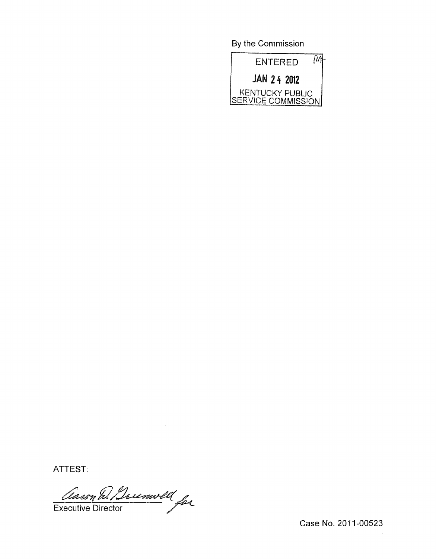By the Commission



ATTEST:

Classon D. Brunwell

Case No. 2011-00523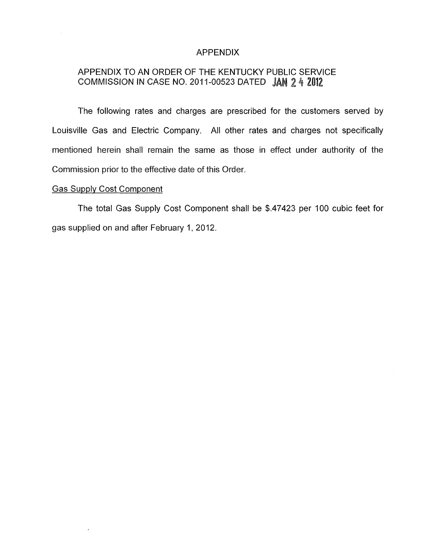#### APPENDIX

# APPENDIX TO AN ORDER OF THE KENTUCKY PUBLIC SERVICE COMMISSION IN CASE NO. 2011-00523 DATED JAN 2 4 2012

The following rates and charges are prescribed for the customers served by Louisville Gas and Electric Company. All other rates and charges not specifically mentioned herein shall remain the same as those in effect under authority of the Commission prior to the effective date of this Order.

### Gas Supply Cost Component

 $\epsilon$ 

The total Gas Supply Cost Component shall be \$.47423 per 100 cubic feet for gas supplied on and after February 1, 2012.